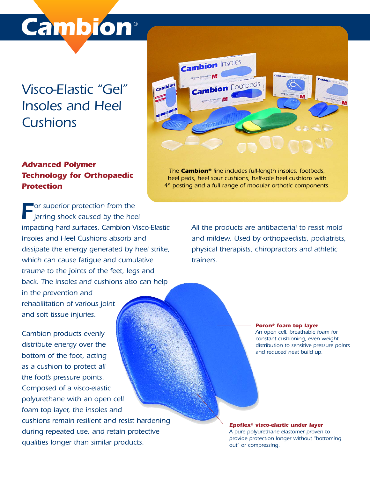# *Cambion* ®

## *Visco-Elastic "Gel" Insoles and Heel Cushions*



#### *Advanced Polymer Technology for Orthopaedic Protection*

**F***or* superior protection from the *jarring shock caused by the heel impacting hard surfaces. Cambion Visco-Elastic Insoles and Heel Cushions absorb and dissipate the energy generated by heel strike, which can cause fatigue and cumulative trauma to the joints of the feet, legs and back. The insoles and cushions also can help in the prevention and rehabilitation of various joint and soft tissue injuries.* 

*Cambion products evenly distribute energy over the bottom of the foot, acting as a cushion to protect all the foot's pressure points. Composed of a visco-elastic polyurethane with an open cell foam top layer, the insoles and cushions remain resilient and resist hardening during repeated use, and retain protective qualities longer than similar products.* 

*The Cambion® line includes full-length insoles, footbeds, heel pads, heel spur cushions, half-sole heel cushions with 4° posting and a full range of modular orthotic components.*

> *All the products are antibacterial to resist mold and mildew. Used by orthopaedists, podiatrists, physical therapists, chiropractors and athletic trainers.*

#### *Poron® foam top layer*

*An open cell, breathable foam for constant cushioning, even weight distribution to sensitive pressure points and reduced heat build up.*

*Epoflex® visco-elastic under layer A pure polyurethane elastomer proven to provide protection longer without "bottoming out" or compressing.*